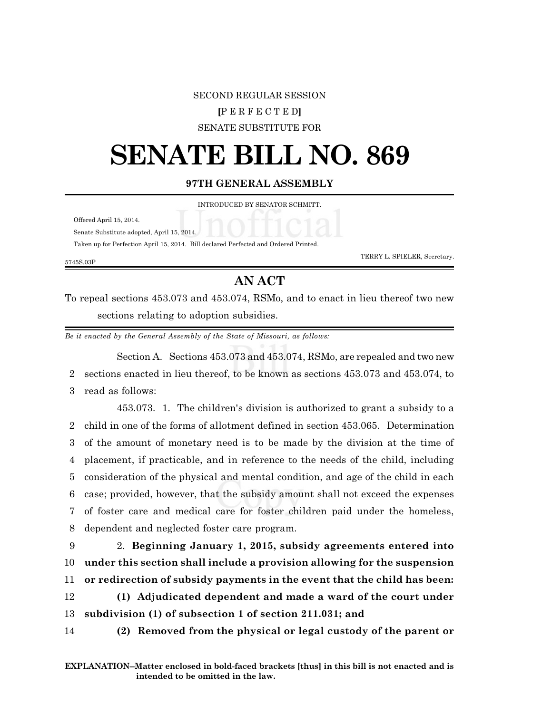## SECOND REGULAR SESSION

## **[**P E R F E C T E D**]**

SENATE SUBSTITUTE FOR

## **SENATE BILL NO. 869**

**97TH GENERAL ASSEMBLY**

INTRODUCED BY SENATOR SCHMITT.

Offered April 15, 2014.

Senate Substitute adopted, April 15, 2014.

Taken up for Perfection April 15, 2014. Bill declared Perfected and Ordered Printed.

5745S.03P

TERRY L. SPIELER, Secretary.

## **AN ACT**

To repeal sections 453.073 and 453.074, RSMo, and to enact in lieu thereof two new sections relating to adoption subsidies.

*Be it enacted by the General Assembly of the State of Missouri, as follows:*

Section A. Sections 453.073 and 453.074, RSMo, are repealed and two new 2 sections enacted in lieu thereof, to be known as sections 453.073 and 453.074, to 3 read as follows:

453.073. 1. The children's division is authorized to grant a subsidy to a child in one of the forms of allotment defined in section 453.065. Determination of the amount of monetary need is to be made by the division at the time of placement, if practicable, and in reference to the needs of the child, including consideration of the physical and mental condition, and age of the child in each case; provided, however, that the subsidy amount shall not exceed the expenses of foster care and medical care for foster children paid under the homeless, dependent and neglected foster care program.

 2. **Beginning January 1, 2015, subsidy agreements entered into under this section shall include a provision allowing for the suspension or redirection of subsidy payments in the event that the child has been: (1) Adjudicated dependent and made a ward of the court under**

13 **subdivision (1) of subsection 1 of section 211.031; and**

14 **(2) Removed from the physical or legal custody of the parent or**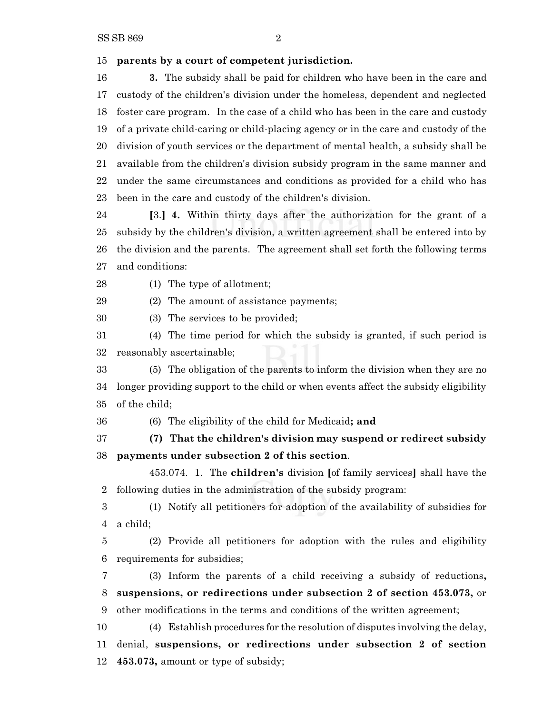**parents by a court of competent jurisdiction.**

 **3.** The subsidy shall be paid for children who have been in the care and custody of the children's division under the homeless, dependent and neglected foster care program. In the case of a child who has been in the care and custody of a private child-caring or child-placing agency or in the care and custody of the division of youth services or the department of mental health, a subsidy shall be available from the children's division subsidy program in the same manner and under the same circumstances and conditions as provided for a child who has been in the care and custody of the children's division.

 **[**3.**] 4.** Within thirty days after the authorization for the grant of a subsidy by the children's division, a written agreement shall be entered into by the division and the parents. The agreement shall set forth the following terms and conditions:

(1) The type of allotment;

(2) The amount of assistance payments;

(3) The services to be provided;

 (4) The time period for which the subsidy is granted, if such period is reasonably ascertainable;

 (5) The obligation of the parents to inform the division when they are no longer providing support to the child or when events affect the subsidy eligibility of the child;

(6) The eligibility of the child for Medicaid**; and**

 **(7) That the children's division may suspend or redirect subsidy payments under subsection 2 of this section**.

453.074. 1. The **children's** division **[**of family services**]** shall have the following duties in the administration of the subsidy program:

 (1) Notify all petitioners for adoption of the availability of subsidies for a child;

 (2) Provide all petitioners for adoption with the rules and eligibility requirements for subsidies;

 (3) Inform the parents of a child receiving a subsidy of reductions**, suspensions, or redirections under subsection 2 of section 453.073,** or other modifications in the terms and conditions of the written agreement;

 (4) Establish procedures for the resolution of disputes involving the delay, denial, **suspensions, or redirections under subsection 2 of section 453.073,** amount or type of subsidy;